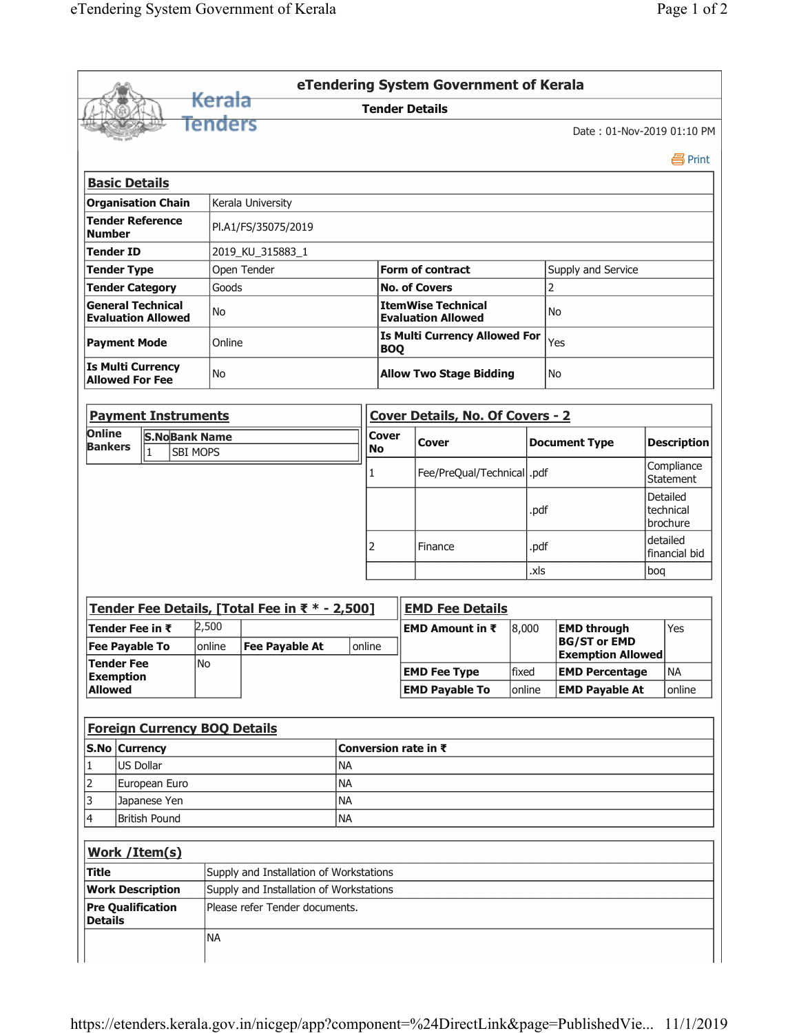|                                                                    |                                                     |                  |                            |                                     |                                                |           |                         |                                                    | eTendering System Government of Kerala                 |                      |      |                                                 |                                   |                           |  |  |  |
|--------------------------------------------------------------------|-----------------------------------------------------|------------------|----------------------------|-------------------------------------|------------------------------------------------|-----------|-------------------------|----------------------------------------------------|--------------------------------------------------------|----------------------|------|-------------------------------------------------|-----------------------------------|---------------------------|--|--|--|
|                                                                    |                                                     |                  |                            | Kerala                              |                                                |           |                         |                                                    | <b>Tender Details</b>                                  |                      |      |                                                 |                                   |                           |  |  |  |
|                                                                    |                                                     |                  |                            | Tenders                             |                                                |           |                         |                                                    |                                                        |                      |      | Date: 01-Nov-2019 01:10 PM                      |                                   |                           |  |  |  |
|                                                                    |                                                     |                  |                            |                                     |                                                |           |                         |                                                    |                                                        |                      |      |                                                 |                                   | 昌 Print                   |  |  |  |
|                                                                    | <b>Basic Details</b>                                |                  |                            |                                     |                                                |           |                         |                                                    |                                                        |                      |      |                                                 |                                   |                           |  |  |  |
|                                                                    | <b>Organisation Chain</b>                           |                  |                            |                                     | Kerala University                              |           |                         |                                                    |                                                        |                      |      |                                                 |                                   |                           |  |  |  |
| <b>Tender Reference</b><br>PI.A1/FS/35075/2019<br><b>Number</b>    |                                                     |                  |                            |                                     |                                                |           |                         |                                                    |                                                        |                      |      |                                                 |                                   |                           |  |  |  |
|                                                                    | <b>Tender ID</b>                                    |                  |                            |                                     | 2019_KU_315883_1                               |           |                         |                                                    |                                                        |                      |      |                                                 |                                   |                           |  |  |  |
|                                                                    | <b>Tender Type</b>                                  |                  |                            |                                     | Open Tender                                    |           | <b>Form of contract</b> |                                                    |                                                        |                      |      | Supply and Service                              |                                   |                           |  |  |  |
| <b>Tender Category</b><br>Goods                                    |                                                     |                  |                            |                                     |                                                |           |                         | <b>No. of Covers</b>                               |                                                        |                      | 2    |                                                 |                                   |                           |  |  |  |
| <b>General Technical</b><br><b>Evaluation Allowed</b>              |                                                     |                  |                            | No                                  |                                                |           |                         |                                                    | <b>ItemWise Technical</b><br><b>Evaluation Allowed</b> |                      | No   |                                                 |                                   |                           |  |  |  |
| <b>Payment Mode</b>                                                |                                                     |                  |                            |                                     | Online                                         |           |                         | <b>Is Multi Currency Allowed For</b><br><b>BOQ</b> |                                                        |                      | Yes  |                                                 |                                   |                           |  |  |  |
| <b>Is Multi Currency</b><br><b>Allowed For Fee</b>                 |                                                     |                  |                            | No                                  |                                                |           |                         | <b>Allow Two Stage Bidding</b>                     |                                                        |                      |      | <b>No</b>                                       |                                   |                           |  |  |  |
|                                                                    | <b>Payment Instruments</b>                          |                  |                            |                                     |                                                |           |                         | <b>Cover Details, No. Of Covers - 2</b>            |                                                        |                      |      |                                                 |                                   |                           |  |  |  |
| <b>Online</b>                                                      |                                                     |                  |                            | <b>S.NoBank Name</b>                |                                                |           | <b>Cover</b>            |                                                    |                                                        |                      |      |                                                 |                                   |                           |  |  |  |
|                                                                    | <b>Bankers</b><br>$\overline{1}$<br><b>SBI MOPS</b> |                  |                            |                                     |                                                | <b>No</b> |                         | Cover                                              |                                                        | <b>Document Type</b> |      | <b>Description</b>                              |                                   |                           |  |  |  |
|                                                                    |                                                     |                  |                            |                                     |                                                |           |                         |                                                    | Fee/PreQual/Technical  .pdf                            |                      | .pdf |                                                 | Compliance<br><b>Statement</b>    |                           |  |  |  |
|                                                                    |                                                     |                  |                            |                                     |                                                |           |                         |                                                    |                                                        |                      |      |                                                 | Detailed<br>technical<br>brochure |                           |  |  |  |
|                                                                    |                                                     |                  |                            |                                     |                                                |           |                         |                                                    | Finance                                                | .pdf                 |      |                                                 |                                   | detailed<br>financial bid |  |  |  |
|                                                                    |                                                     |                  |                            |                                     |                                                |           | .xls                    |                                                    |                                                        |                      | bog  |                                                 |                                   |                           |  |  |  |
|                                                                    |                                                     |                  |                            |                                     | Tender Fee Details, [Total Fee in ₹ * - 2,500] |           |                         |                                                    | <b>EMD Fee Details</b>                                 |                      |      |                                                 |                                   |                           |  |  |  |
| Tender Fee in ₹                                                    |                                                     |                  |                            | 2,500                               |                                                |           |                         | <b>EMD Amount in <math>\bar{x}</math></b>          |                                                        | 8,000                |      | <b>EMD through</b>                              |                                   | Yes                       |  |  |  |
|                                                                    | <b>Fee Pavable To</b><br><b>Tender Fee</b>          |                  |                            | lonline<br>N <sub>o</sub>           | <b>Fee Payable At</b>                          | online    |                         |                                                    |                                                        |                      |      | <b>BG/ST or EMD</b><br><b>Exemption Allowed</b> |                                   |                           |  |  |  |
| <b>Exemption</b>                                                   |                                                     |                  |                            |                                     |                                                |           |                         |                                                    | <b>EMD Fee Type</b>                                    | fixed                |      | <b>EMD Percentage</b>                           |                                   | <b>NA</b>                 |  |  |  |
| <b>Allowed</b>                                                     |                                                     |                  |                            |                                     |                                                |           |                         |                                                    | <b>EMD Payable To</b>                                  | online               |      | <b>EMD Payable At</b>                           |                                   | online                    |  |  |  |
|                                                                    |                                                     |                  |                            | <b>Foreign Currency BOQ Details</b> |                                                |           |                         |                                                    |                                                        |                      |      |                                                 |                                   |                           |  |  |  |
|                                                                    | S.No Currency                                       |                  |                            |                                     |                                                |           | Conversion rate in ₹    |                                                    |                                                        |                      |      |                                                 |                                   |                           |  |  |  |
| 1                                                                  |                                                     | <b>US Dollar</b> |                            |                                     | <b>NA</b>                                      |           |                         |                                                    |                                                        |                      |      |                                                 |                                   |                           |  |  |  |
| $\overline{2}$                                                     |                                                     |                  | <b>NA</b><br>European Euro |                                     |                                                |           |                         |                                                    |                                                        |                      |      |                                                 |                                   |                           |  |  |  |
| 3                                                                  | Japanese Yen<br><b>NA</b>                           |                  |                            |                                     |                                                |           |                         |                                                    |                                                        |                      |      |                                                 |                                   |                           |  |  |  |
| <b>British Pound</b><br>4<br><b>NA</b>                             |                                                     |                  |                            |                                     |                                                |           |                         |                                                    |                                                        |                      |      |                                                 |                                   |                           |  |  |  |
|                                                                    | Work / Item(s)                                      |                  |                            |                                     |                                                |           |                         |                                                    |                                                        |                      |      |                                                 |                                   |                           |  |  |  |
| Title<br>Supply and Installation of Workstations                   |                                                     |                  |                            |                                     |                                                |           |                         |                                                    |                                                        |                      |      |                                                 |                                   |                           |  |  |  |
| <b>Work Description</b><br>Supply and Installation of Workstations |                                                     |                  |                            |                                     |                                                |           |                         |                                                    |                                                        |                      |      |                                                 |                                   |                           |  |  |  |
| <b>Pre Qualification</b><br><b>Details</b>                         |                                                     |                  |                            |                                     | Please refer Tender documents.                 |           |                         |                                                    |                                                        |                      |      |                                                 |                                   |                           |  |  |  |
|                                                                    |                                                     |                  |                            | <b>NA</b>                           |                                                |           |                         |                                                    |                                                        |                      |      |                                                 |                                   |                           |  |  |  |
|                                                                    |                                                     |                  |                            |                                     |                                                |           |                         |                                                    |                                                        |                      |      |                                                 |                                   |                           |  |  |  |